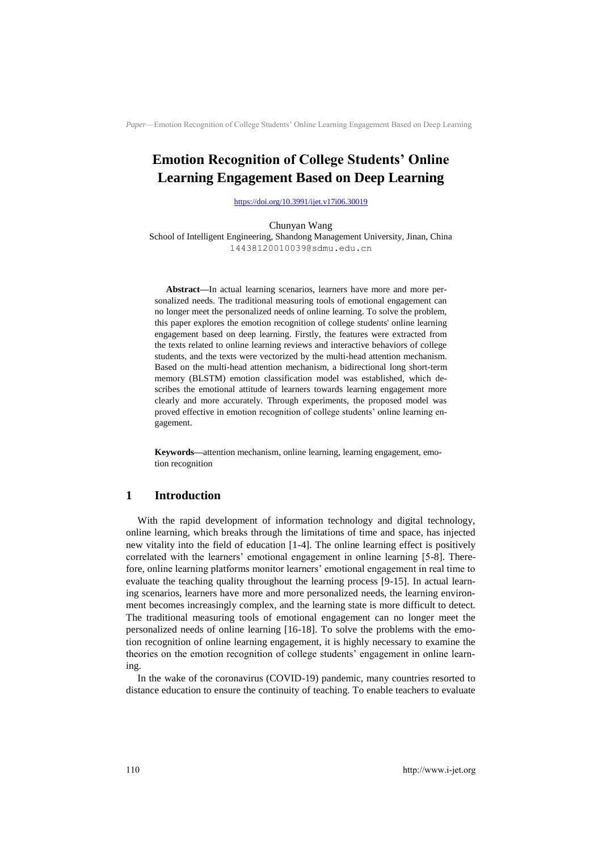# **Emotion Recognition of College Students' Online Learning Engagement Based on Deep Learning**

<https://doi.org/10.3991/ijet.v17i06.30019>

Chunyan Wang School of Intelligent Engineering, Shandong Management University, Jinan, China 14438120010039@sdmu.edu.cn

**Abstract—**In actual learning scenarios, learners have more and more personalized needs. The traditional measuring tools of emotional engagement can no longer meet the personalized needs of online learning. To solve the problem, this paper explores the emotion recognition of college students' online learning engagement based on deep learning. Firstly, the features were extracted from the texts related to online learning reviews and interactive behaviors of college students, and the texts were vectorized by the multi-head attention mechanism. Based on the multi-head attention mechanism, a bidirectional long short-term memory (BLSTM) emotion classification model was established, which describes the emotional attitude of learners towards learning engagement more clearly and more accurately. Through experiments, the proposed model was proved effective in emotion recognition of college students' online learning engagement.

**Keywords—**attention mechanism, online learning, learning engagement, emotion recognition

## **1 Introduction**

With the rapid development of information technology and digital technology, online learning, which breaks through the limitations of time and space, has injected new vitality into the field of education [1-4]. The online learning effect is positively correlated with the learners' emotional engagement in online learning [5-8]. Therefore, online learning platforms monitor learners' emotional engagement in real time to evaluate the teaching quality throughout the learning process [9-15]. In actual learning scenarios, learners have more and more personalized needs, the learning environment becomes increasingly complex, and the learning state is more difficult to detect. The traditional measuring tools of emotional engagement can no longer meet the personalized needs of online learning [16-18]. To solve the problems with the emotion recognition of online learning engagement, it is highly necessary to examine the theories on the emotion recognition of college students' engagement in online learning.

In the wake of the coronavirus (COVID-19) pandemic, many countries resorted to distance education to ensure the continuity of teaching. To enable teachers to evaluate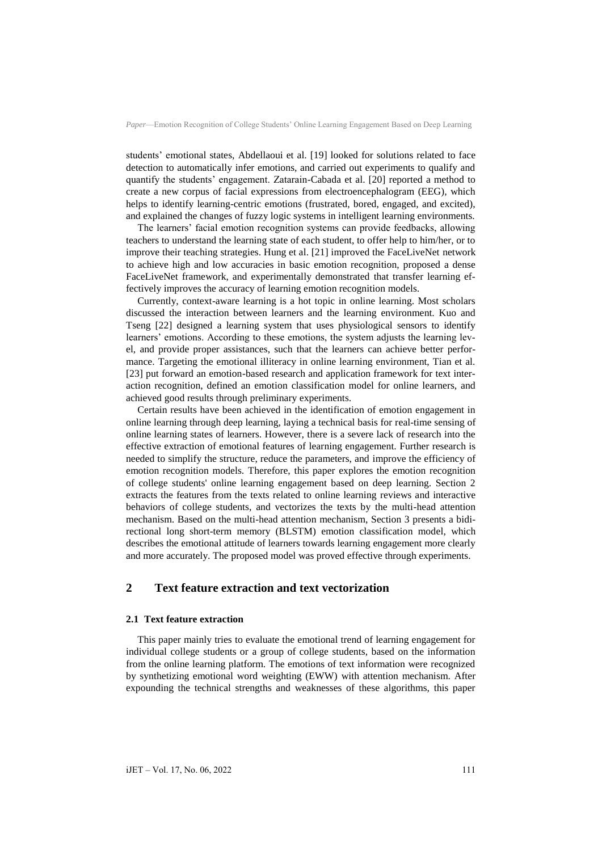students' emotional states, Abdellaoui et al. [19] looked for solutions related to face detection to automatically infer emotions, and carried out experiments to qualify and quantify the students' engagement. Zatarain-Cabada et al. [20] reported a method to create a new corpus of facial expressions from electroencephalogram (EEG), which helps to identify learning-centric emotions (frustrated, bored, engaged, and excited), and explained the changes of fuzzy logic systems in intelligent learning environments.

The learners' facial emotion recognition systems can provide feedbacks, allowing teachers to understand the learning state of each student, to offer help to him/her, or to improve their teaching strategies. Hung et al. [21] improved the FaceLiveNet network to achieve high and low accuracies in basic emotion recognition, proposed a dense FaceLiveNet framework, and experimentally demonstrated that transfer learning effectively improves the accuracy of learning emotion recognition models.

Currently, context-aware learning is a hot topic in online learning. Most scholars discussed the interaction between learners and the learning environment. Kuo and Tseng [22] designed a learning system that uses physiological sensors to identify learners' emotions. According to these emotions, the system adjusts the learning level, and provide proper assistances, such that the learners can achieve better performance. Targeting the emotional illiteracy in online learning environment, Tian et al. [23] put forward an emotion-based research and application framework for text interaction recognition, defined an emotion classification model for online learners, and achieved good results through preliminary experiments.

Certain results have been achieved in the identification of emotion engagement in online learning through deep learning, laying a technical basis for real-time sensing of online learning states of learners. However, there is a severe lack of research into the effective extraction of emotional features of learning engagement. Further research is needed to simplify the structure, reduce the parameters, and improve the efficiency of emotion recognition models. Therefore, this paper explores the emotion recognition of college students' online learning engagement based on deep learning. Section 2 extracts the features from the texts related to online learning reviews and interactive behaviors of college students, and vectorizes the texts by the multi-head attention mechanism. Based on the multi-head attention mechanism, Section 3 presents a bidirectional long short-term memory (BLSTM) emotion classification model, which describes the emotional attitude of learners towards learning engagement more clearly and more accurately. The proposed model was proved effective through experiments.

### **2 Text feature extraction and text vectorization**

#### **2.1 Text feature extraction**

This paper mainly tries to evaluate the emotional trend of learning engagement for individual college students or a group of college students, based on the information from the online learning platform. The emotions of text information were recognized by synthetizing emotional word weighting (EWW) with attention mechanism. After expounding the technical strengths and weaknesses of these algorithms, this paper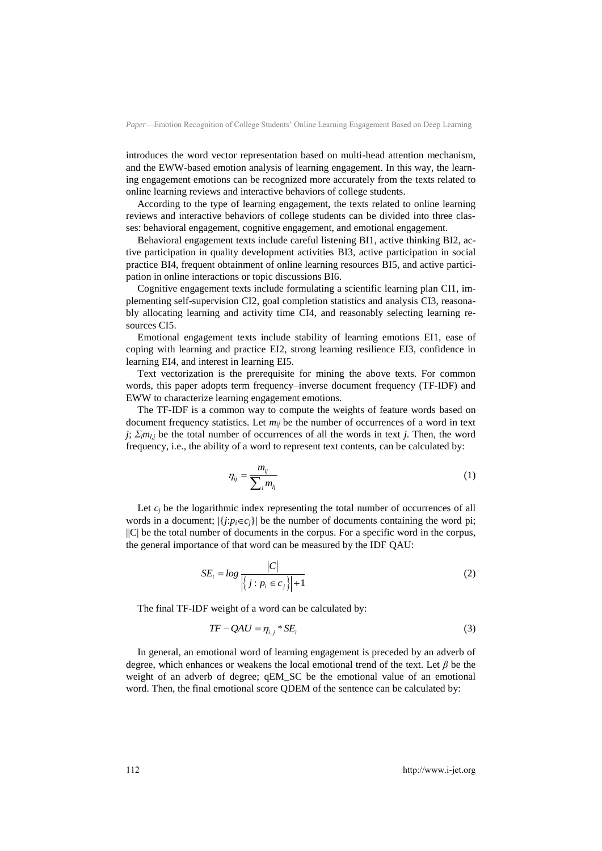introduces the word vector representation based on multi-head attention mechanism, and the EWW-based emotion analysis of learning engagement. In this way, the learning engagement emotions can be recognized more accurately from the texts related to online learning reviews and interactive behaviors of college students.

According to the type of learning engagement, the texts related to online learning reviews and interactive behaviors of college students can be divided into three classes: behavioral engagement, cognitive engagement, and emotional engagement.

Behavioral engagement texts include careful listening BI1, active thinking BI2, active participation in quality development activities BI3, active participation in social practice BI4, frequent obtainment of online learning resources BI5, and active participation in online interactions or topic discussions BI6.

Cognitive engagement texts include formulating a scientific learning plan CI1, implementing self-supervision CI2, goal completion statistics and analysis CI3, reasonably allocating learning and activity time CI4, and reasonably selecting learning resources CI5.

Emotional engagement texts include stability of learning emotions EI1, ease of coping with learning and practice EI2, strong learning resilience EI3, confidence in learning EI4, and interest in learning EI5.

Text vectorization is the prerequisite for mining the above texts. For common words, this paper adopts term frequency–inverse document frequency (TF-IDF) and EWW to characterize learning engagement emotions.

The TF-IDF is a common way to compute the weights of feature words based on document frequency statistics. Let *mij* be the number of occurrences of a word in text *j*; *Σlml,j* be the total number of occurrences of all the words in text *j*. Then, the word frequency, i.e., the ability of a word to represent text contents, can be calculated by:

$$
\eta_{ij} = \frac{m_{ij}}{\sum_i m_{ij}} \tag{1}
$$

Let  $c_i$  be the logarithmic index representing the total number of occurrences of all words in a document;  $|\{j: p_i \in c_j\}|$  be the number of documents containing the word pi; ||C| be the total number of documents in the corpus. For a specific word in the corpus, the general importance of that word can be measured by the IDF QAU:

$$
SE_i = log \frac{|C|}{\left| \left\{ j : p_i \in c_j \right\} \right| + 1}
$$
 (2)

The final TF-IDF weight of a word can be calculated by:

$$
TF - QAU = \eta_{i,j} * SE_i \tag{3}
$$

In general, an emotional word of learning engagement is preceded by an adverb of degree, which enhances or weakens the local emotional trend of the text. Let *β* be the weight of an adverb of degree; qEM\_SC be the emotional value of an emotional word. Then, the final emotional score QDEM of the sentence can be calculated by: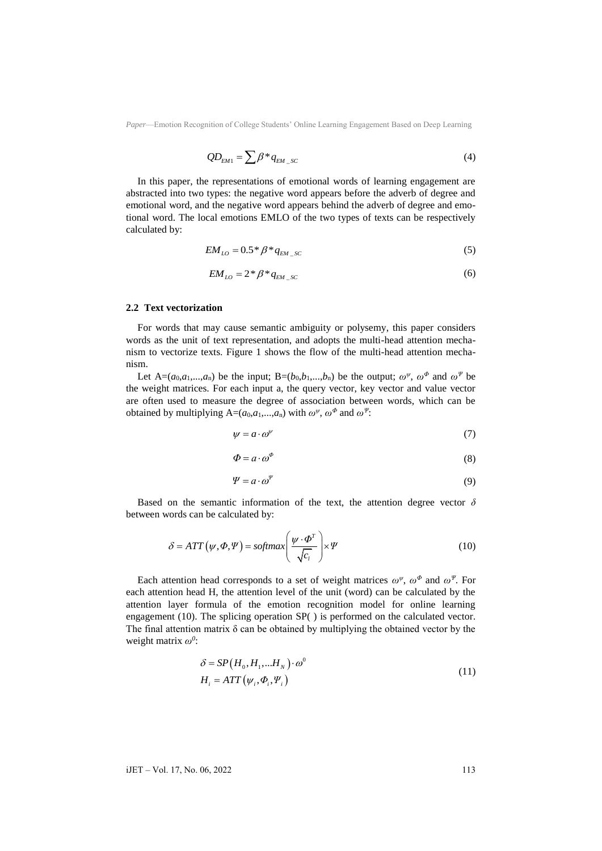$$
QD_{EM1} = \sum \beta^* q_{EM\_SC} \tag{4}
$$

In this paper, the representations of emotional words of learning engagement are abstracted into two types: the negative word appears before the adverb of degree and emotional word, and the negative word appears behind the adverb of degree and emotional word. The local emotions EMLO of the two types of texts can be respectively calculated by:

$$
EM_{LO} = 0.5 * \beta * q_{EM\_SC}
$$
 (5)

$$
EM_{LO} = 2 \cdot \beta \cdot q_{EM\_SC}
$$
 (6)

#### **2.2 Text vectorization**

For words that may cause semantic ambiguity or polysemy, this paper considers words as the unit of text representation, and adopts the multi-head attention mechanism to vectorize texts. Figure 1 shows the flow of the multi-head attention mechanism.

Let  $A=(a_0,a_1,...,a_n)$  be the input;  $B=(b_0,b_1,...,b_n)$  be the output;  $\omega^{\psi}$ ,  $\omega^{\phi}$  and  $\omega^{\psi}$  be the weight matrices. For each input a, the query vector, key vector and value vector are often used to measure the degree of association between words, which can be obtained by multiplying  $A=(a_0,a_1,...,a_n)$  with  $\omega^{\psi}, \omega^{\Phi}$  and  $\omega^{\psi}$ .

$$
\psi = a \cdot \omega^{\psi} \tag{7}
$$

$$
\Phi = a \cdot \omega^{\Phi} \tag{8}
$$

$$
\Psi = a \cdot \omega^{\Psi} \tag{9}
$$

Based on the semantic information of the text, the attention degree vector  $\delta$ between words can be calculated by:

$$
\delta = ATT(\psi, \Phi, \Psi) = softmax\left(\frac{\psi \cdot \Phi^T}{\sqrt{c_i}}\right) \times \Psi
$$
\n(10)

Each attention head corresponds to a set of weight matrices  $\omega^{\psi}$ ,  $\omega^{\Phi}$  and  $\omega^{\Psi}$ . For each attention head H, the attention level of the unit (word) can be calculated by the attention layer formula of the emotion recognition model for online learning engagement (10). The splicing operation SP( ) is performed on the calculated vector. The final attention matrix  $\delta$  can be obtained by multiplying the obtained vector by the weight matrix *ω<sup>0</sup>* :

$$
\delta = SP(H_0, H_1, \dots, H_N) \cdot \omega^0
$$
  
\n
$$
H_i = ATT(\psi_i, \Phi_i, \Psi_i)
$$
\n(11)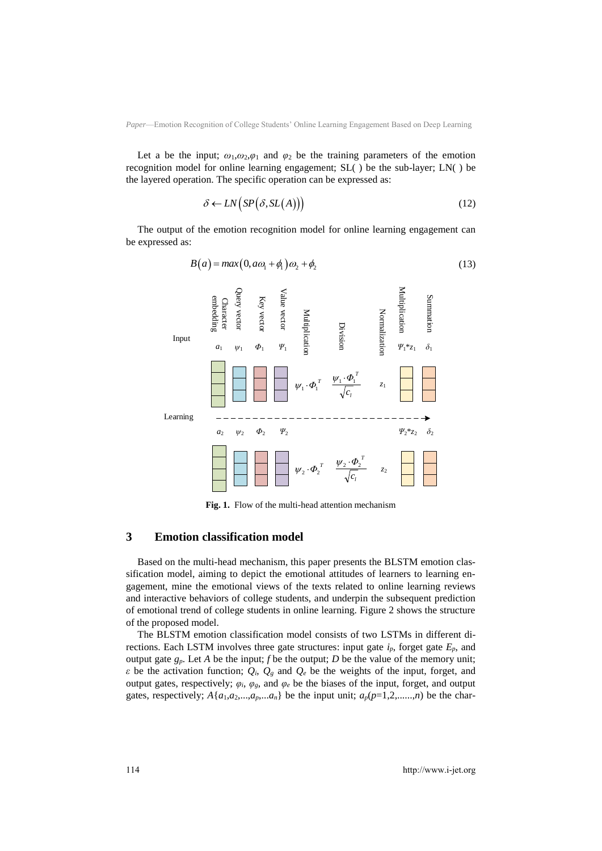Let a be the input;  $\omega_1, \omega_2, \varphi_1$  and  $\varphi_2$  be the training parameters of the emotion recognition model for online learning engagement; SL( ) be the sub-layer; LN( ) be the layered operation. The specific operation can be expressed as:

$$
\delta \leftarrow LN\big(SP(\delta, SL(A))\big) \tag{12}
$$

The output of the emotion recognition model for online learning engagement can be expressed as:

$$
B(a) = max(0, a\omega_1 + \phi_1)\omega_2 + \phi_2
$$
 (13)



**Fig. 1.** Flow of the multi-head attention mechanism

#### **3 Emotion classification model**

Based on the multi-head mechanism, this paper presents the BLSTM emotion classification model, aiming to depict the emotional attitudes of learners to learning engagement, mine the emotional views of the texts related to online learning reviews and interactive behaviors of college students, and underpin the subsequent prediction of emotional trend of college students in online learning. Figure 2 shows the structure of the proposed model.

The BLSTM emotion classification model consists of two LSTMs in different directions. Each LSTM involves three gate structures: input gate  $i_p$ , forget gate  $E_p$ , and output gate  $g_p$ . Let *A* be the input; *f* be the output; *D* be the value of the memory unit; *ε* be the activation function;  $Q_i$ ,  $Q_g$  and  $Q_e$  be the weights of the input, forget, and output gates, respectively;  $\varphi_i$ ,  $\varphi_g$ , and  $\varphi_e$  be the biases of the input, forget, and output gates, respectively;  $A\{a_1,a_2,...,a_p,...a_n\}$  be the input unit;  $a_p(p=1,2,......,n)$  be the char-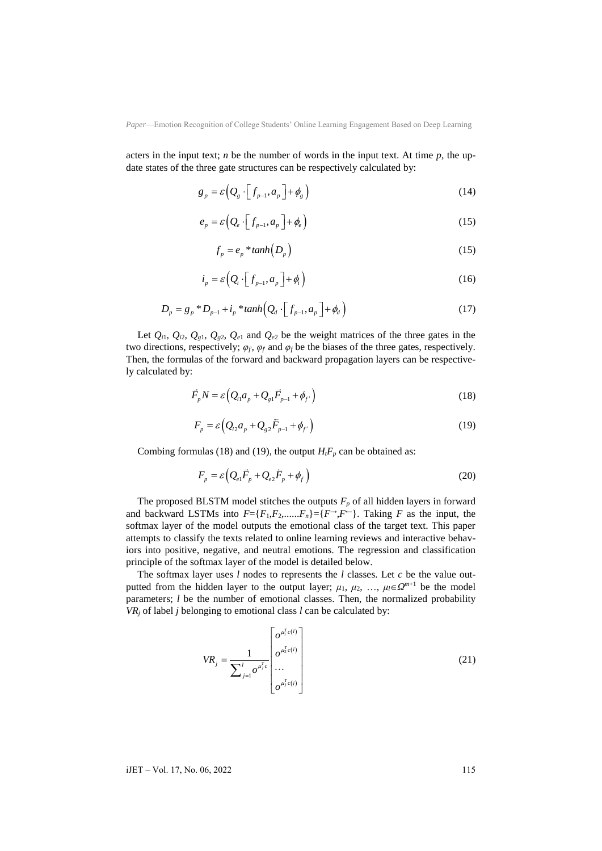acters in the input text; *n* be the number of words in the input text. At time  $p$ , the update states of the three gate structures can be respectively calculated by:

$$
g_p = \varepsilon \Big( Q_s \cdot \Big[ f_{p-1}, a_p \Big] + \phi_g \Big) \tag{14}
$$

$$
e_p = \varepsilon \left( Q_e \cdot \left[ f_{p-1}, a_p \right] + \phi_e \right) \tag{15}
$$

$$
f_p = e_p * tanh(D_p)
$$
 (15)

$$
i_p = \varepsilon \Big( Q_i \cdot \Big[ f_{p-1}, a_p \Big] + \phi_i \Big) \tag{16}
$$

$$
D_p = g_p * D_{p-1} + i_p * \tanh(Q_d \cdot [f_{p-1}, a_p] + \phi_d)
$$
 (17)

Let  $Q_{i1}$ ,  $Q_{i2}$ ,  $Q_{g1}$ ,  $Q_{g2}$ ,  $Q_{e1}$  and  $Q_{e2}$  be the weight matrices of the three gates in the two directions, respectively; *φ<sup>f</sup>*', *φ<sup>f</sup>*' and *φ<sup>f</sup>* be the biases of the three gates, respectively. Then, the formulas of the forward and backward propagation layers can be respectively calculated by:

$$
\vec{F}_p N = \varepsilon \left( Q_{i1} a_p + Q_{g1} \vec{F}_{p-1} + \phi_{f'} \right)
$$
\n(18)

$$
F_p = \varepsilon \Big( Q_{i2} a_p + Q_{g2} \bar{F}_{p-1} + \phi_{f'} \Big)
$$
 (19)

Combing formulas (18) and (19), the output  $H_iF_p$  can be obtained as:

$$
F_p = \varepsilon \left( Q_{e1} \vec{F}_p + Q_{e2} \vec{F}_p + \phi_f \right)
$$
 (20)

The proposed BLSTM model stitches the outputs  $F_p$  of all hidden layers in forward and backward LSTMs into  $F = \{F_1, F_2, \ldots, F_n\} = \{F \rightarrow F^-\}$ . Taking *F* as the input, the softmax layer of the model outputs the emotional class of the target text. This paper attempts to classify the texts related to online learning reviews and interactive behaviors into positive, negative, and neutral emotions. The regression and classification principle of the softmax layer of the model is detailed below.

The softmax layer uses *l* nodes to represents the *l* classes. Let *c* be the value outputted from the hidden layer to the output layer;  $\mu_1$ ,  $\mu_2$ , ...,  $\mu_l \in \Omega^{m+1}$  be the model parameters; *l* be the number of emotional classes. Then, the normalized probability  $VR_j$  of label *j* belonging to emotional class *l* can be calculated by:

$$
VR_{j} = \frac{1}{\sum_{j=1}^{l} o^{\mu_{i}^{T}c(i)}} \begin{bmatrix} o^{\mu_{i}^{T}c(i)} \\ o^{\mu_{2}^{T}c(i)} \\ \cdots \\ o^{\mu_{j}^{T}c(i)} \end{bmatrix}
$$
(21)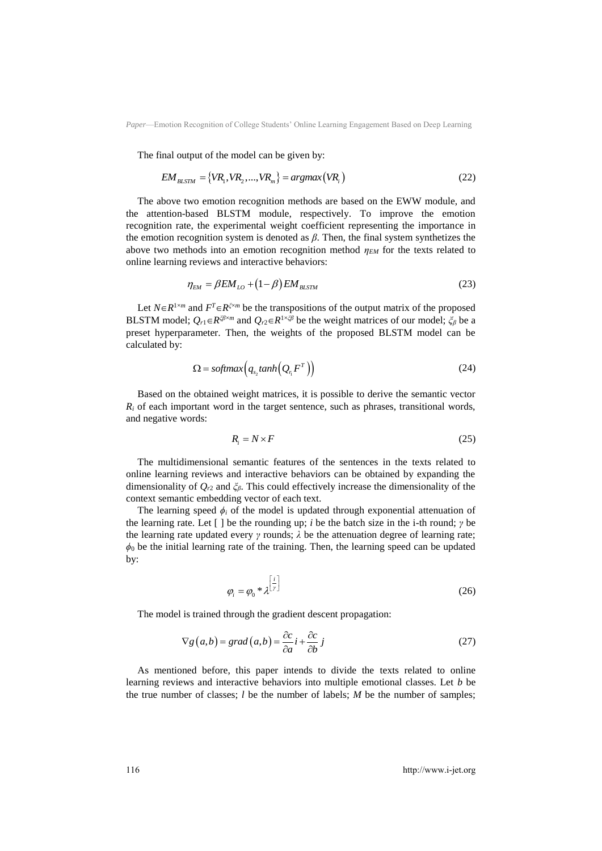The final output of the model can be given by:  
\n
$$
EM_{BLSTM} = \{VR_1, VR_2,...,VR_m\} = argmax(VR_i)
$$
\n(22)

The above two emotion recognition methods are based on the EWW module, and the attention-based BLSTM module, respectively. To improve the emotion recognition rate, the experimental weight coefficient representing the importance in the emotion recognition system is denoted as *β*. Then, the final system synthetizes the above two methods into an emotion recognition method *ηEM* for the texts related to online learning reviews and interactive behaviors:

$$
\eta_{EM} = \beta EM_{LO} + (1 - \beta) EM_{BLSTM}
$$
\n(23)

Let  $N \in R^{1 \times m}$  and  $F^T \in R^{\zeta \times m}$  be the transpositions of the output matrix of the proposed BLSTM model;  $Q_{r1} \in R^{\xi\beta\times m}$  and  $Q_{r2} \in R^{1\times\xi\beta}$  be the weight matrices of our model;  $\xi_\beta$  be a preset hyperparameter. Then, the weights of the proposed BLSTM model can be calculated by:

$$
\Omega = \text{softmax}\Big(q_{s_2} \tanh\Big(Q_{r_1} F^T\Big)\Big) \tag{24}
$$

Based on the obtained weight matrices, it is possible to derive the semantic vector  $R_i$  of each important word in the target sentence, such as phrases, transitional words, and negative words:

$$
R_i = N \times F \tag{25}
$$

The multidimensional semantic features of the sentences in the texts related to online learning reviews and interactive behaviors can be obtained by expanding the dimensionality of *Qr*<sup>2</sup> and *ξβ*. This could effectively increase the dimensionality of the context semantic embedding vector of each text.

The learning speed  $\phi_i$  of the model is updated through exponential attenuation of the learning rate. Let [ ] be the rounding up; *i* be the batch size in the i-th round; *γ* be the learning rate updated every *γ* rounds; *λ* be the attenuation degree of learning rate;  $\phi_0$  be the initial learning rate of the training. Then, the learning speed can be updated by:

$$
\varphi_i = \varphi_0 * \lambda^{\left[\frac{i}{r}\right]}
$$
\n(26)

The model is trained through the gradient descent propagation:

$$
\nabla g(a,b) = grad(a,b) = \frac{\partial c}{\partial a}i + \frac{\partial c}{\partial b}j
$$
\n(27)

As mentioned before, this paper intends to divide the texts related to online learning reviews and interactive behaviors into multiple emotional classes. Let *b* be the true number of classes; *l* be the number of labels; *M* be the number of samples;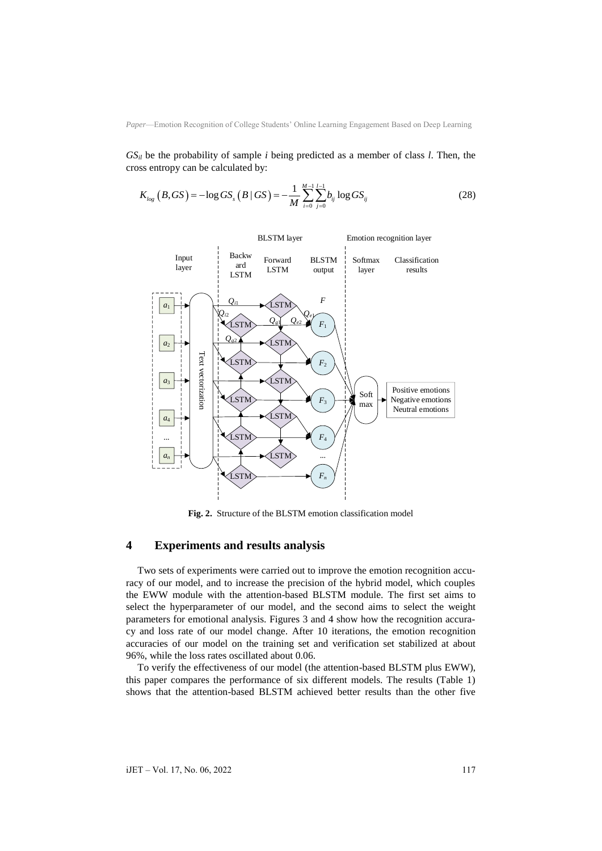*GSil* be the probability of sample *i* being predicted as a member of class *l*. Then, the

cross entropy can be calculated by:  
\n
$$
K_{log}(B, GS) = -\log GS_s(B \mid GS) = -\frac{1}{M} \sum_{i=0}^{M-1} \sum_{j=0}^{l-1} b_{ij} \log GS_{ij}
$$
\n(28)



**Fig. 2.** Structure of the BLSTM emotion classification model

#### **4 Experiments and results analysis**

Two sets of experiments were carried out to improve the emotion recognition accuracy of our model, and to increase the precision of the hybrid model, which couples the EWW module with the attention-based BLSTM module. The first set aims to select the hyperparameter of our model, and the second aims to select the weight parameters for emotional analysis. Figures 3 and 4 show how the recognition accuracy and loss rate of our model change. After 10 iterations, the emotion recognition accuracies of our model on the training set and verification set stabilized at about 96%, while the loss rates oscillated about 0.06.

To verify the effectiveness of our model (the attention-based BLSTM plus EWW), this paper compares the performance of six different models. The results (Table 1) shows that the attention-based BLSTM achieved better results than the other five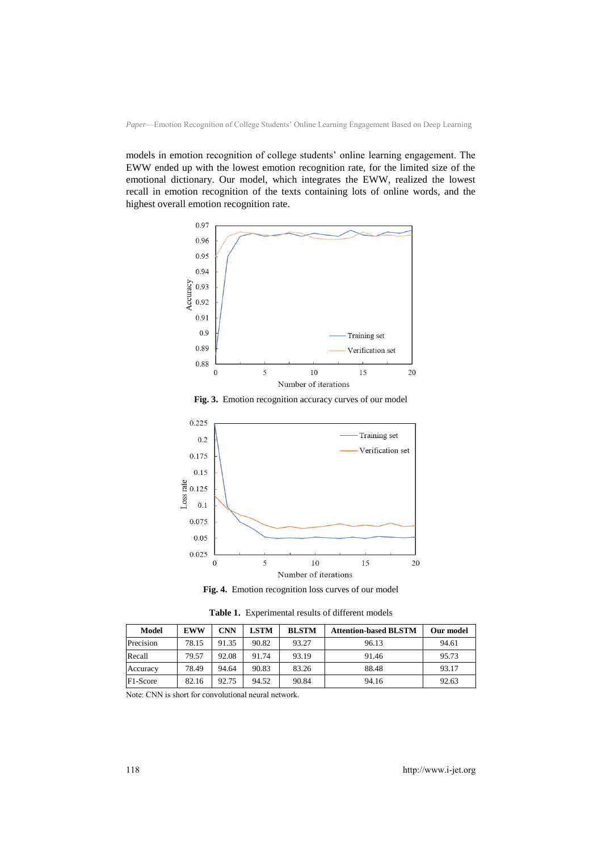models in emotion recognition of college students' online learning engagement. The EWW ended up with the lowest emotion recognition rate, for the limited size of the emotional dictionary. Our model, which integrates the EWW, realized the lowest recall in emotion recognition of the texts containing lots of online words, and the highest overall emotion recognition rate.



**Fig. 3.** Emotion recognition accuracy curves of our model



**Fig. 4.** Emotion recognition loss curves of our model

**Table 1.** Experimental results of different models

| Model     | <b>EWW</b> | CNN   | <b>LSTM</b> | <b>BLSTM</b> | <b>Attention-based BLSTM</b> | Our model |
|-----------|------------|-------|-------------|--------------|------------------------------|-----------|
| Precision | 78.15      | 91.35 | 90.82       | 93.27        | 96.13                        | 94.61     |
| Recall    | 79.57      | 92.08 | 91.74       | 93.19        | 91.46                        | 95.73     |
| Accuracy  | 78.49      | 94.64 | 90.83       | 83.26        | 88.48                        | 93.17     |
| F1-Score  | 82.16      | 92.75 | 94.52       | 90.84        | 94.16                        | 92.63     |

Note: CNN is short for convolutional neural network.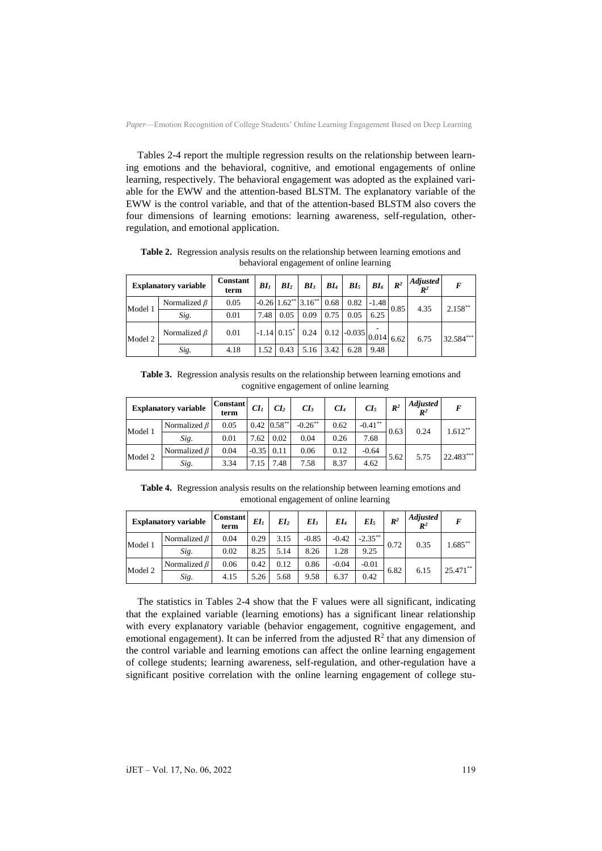Tables 2-4 report the multiple regression results on the relationship between learning emotions and the behavioral, cognitive, and emotional engagements of online learning, respectively. The behavioral engagement was adopted as the explained variable for the EWW and the attention-based BLSTM. The explanatory variable of the EWW is the control variable, and that of the attention-based BLSTM also covers the four dimensions of learning emotions: learning awareness, self-regulation, otherregulation, and emotional application.

| <b>Explanatory variable</b> |                    | Constant<br>term | BI <sub>1</sub> | BI <sub>2</sub> | BI <sub>3</sub>                               | BI <sub>4</sub> | BI <sub>5</sub>                                                                                        | $B I_6$ | $\mathbb{R}^2$ | <b>Adjusted</b><br>$I\!\!R^2$ | F          |
|-----------------------------|--------------------|------------------|-----------------|-----------------|-----------------------------------------------|-----------------|--------------------------------------------------------------------------------------------------------|---------|----------------|-------------------------------|------------|
| Model 1                     | Normalized $\beta$ | 0.05             |                 |                 | $-0.26$ 1.62 <sup>**</sup> 3.16 <sup>**</sup> | 0.68            | 0.82                                                                                                   | $-1.48$ | 0.85           | 4.35                          | $2.158***$ |
|                             | Sig.               | 0.01             | 7.48            | 0.05            | 0.09                                          | 0.75            | 0.05                                                                                                   | 6.25    |                |                               |            |
| Model 2                     | Normalized $\beta$ | 0.01             |                 |                 |                                               |                 | $\left  -1.14 \right  0.15^* \left  0.24 \right  0.12 \left  -0.035 \right  0.014 \left  6.62 \right $ |         |                | 6.75                          | 32.584***  |
|                             | Sig.               | 4.18             | 1.52            | 0.43            | 5.16                                          | 3.42            | 6.28                                                                                                   | 9.48    |                |                               |            |

**Table 2.** Regression analysis results on the relationship between learning emotions and behavioral engagement of online learning

**Table 3.** Regression analysis results on the relationship between learning emotions and cognitive engagement of online learning

| <b>Explanatory variable</b> |                    | <b>Constant</b><br>term | CI <sub>I</sub> | CI <sub>2</sub>   | CI <sub>3</sub>       | CI <sub>4</sub> | $CL_5$     | $\mathbb{R}^2$ | <b>Adjusted</b><br>$\mathbb{R}^2$ | F         |
|-----------------------------|--------------------|-------------------------|-----------------|-------------------|-----------------------|-----------------|------------|----------------|-----------------------------------|-----------|
| Model 1                     | Normalized $\beta$ | 0.05                    |                 | $0.42 \, 0.58$ ** | $-0.26$ <sup>**</sup> | 0.62            | $-0.41***$ | 0.63           | 0.24                              | $1.612**$ |
|                             | Sig.               | 0.01                    | 7.62            | 0.02              | 0.04                  | 0.26            | 7.68       |                |                                   |           |
| Model 2                     | Normalized $\beta$ | 0.04                    | $-0.35$ 0.11    |                   | 0.06                  | 0.12            | $-0.64$    | 5.62           | 5.75                              | 22.483*** |
|                             | Sig.               | 3.34                    | 7.15            | 7.48              | 7.58                  | 8.37            | 4.62       |                |                                   |           |

**Table 4.** Regression analysis results on the relationship between learning emotions and emotional engagement of online learning

| <b>Explanatory variable</b> |                    | <b>Constant</b><br>term | EI <sub>1</sub> | EI <sub>2</sub> | EI <sub>3</sub> | EI4     | EI <sub>5</sub> | $\mathbb{R}^2$ | <b>Adjusted</b><br>$\mathbb{R}^2$ | F           |
|-----------------------------|--------------------|-------------------------|-----------------|-----------------|-----------------|---------|-----------------|----------------|-----------------------------------|-------------|
| Model 1                     | Normalized $\beta$ | 0.04                    | 0.29            | 3.15            | $-0.85$         | $-0.42$ | $-2.35***$      | 0.72           | 0.35                              | $1.685***$  |
|                             | Sig.               | 0.02                    | 8.25            | 5.14            | 8.26            | 1.28    | 9.25            |                |                                   |             |
| Model 2                     | Normalized $\beta$ | 0.06                    | 0.42            | 0.12            | 0.86            | $-0.04$ | $-0.01$         | 6.82           | 6.15                              | $25.471***$ |
|                             | Sig.               | 4.15                    | 5.26            | 5.68            | 9.58            | 6.37    | 0.42            |                |                                   |             |

The statistics in Tables 2-4 show that the F values were all significant, indicating that the explained variable (learning emotions) has a significant linear relationship with every explanatory variable (behavior engagement, cognitive engagement, and emotional engagement). It can be inferred from the adjusted  $\mathbb{R}^2$  that any dimension of the control variable and learning emotions can affect the online learning engagement of college students; learning awareness, self-regulation, and other-regulation have a significant positive correlation with the online learning engagement of college stu-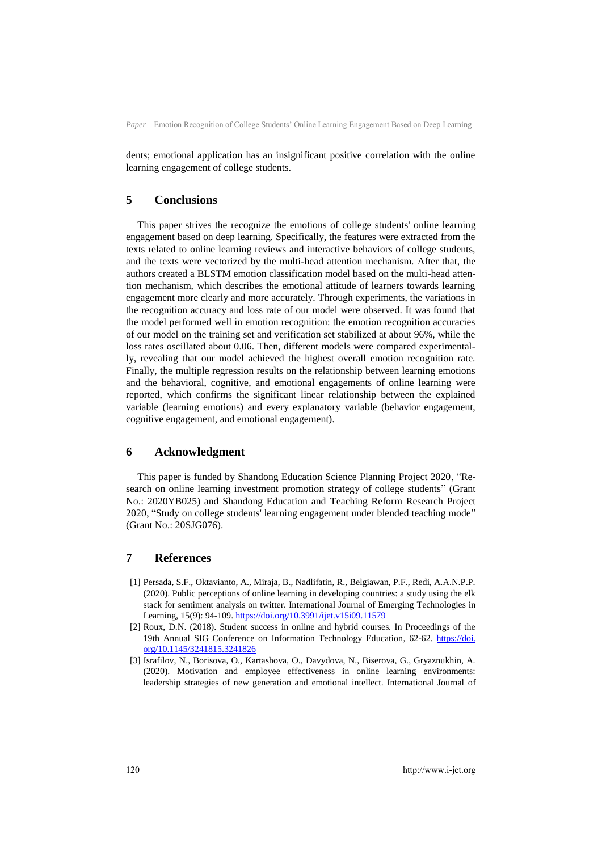dents; emotional application has an insignificant positive correlation with the online learning engagement of college students.

#### **5 Conclusions**

This paper strives the recognize the emotions of college students' online learning engagement based on deep learning. Specifically, the features were extracted from the texts related to online learning reviews and interactive behaviors of college students, and the texts were vectorized by the multi-head attention mechanism. After that, the authors created a BLSTM emotion classification model based on the multi-head attention mechanism, which describes the emotional attitude of learners towards learning engagement more clearly and more accurately. Through experiments, the variations in the recognition accuracy and loss rate of our model were observed. It was found that the model performed well in emotion recognition: the emotion recognition accuracies of our model on the training set and verification set stabilized at about 96%, while the loss rates oscillated about 0.06. Then, different models were compared experimentally, revealing that our model achieved the highest overall emotion recognition rate. Finally, the multiple regression results on the relationship between learning emotions and the behavioral, cognitive, and emotional engagements of online learning were reported, which confirms the significant linear relationship between the explained variable (learning emotions) and every explanatory variable (behavior engagement, cognitive engagement, and emotional engagement).

## **6 Acknowledgment**

This paper is funded by Shandong Education Science Planning Project 2020, "Research on online learning investment promotion strategy of college students" (Grant No.: 2020YB025) and Shandong Education and Teaching Reform Research Project 2020, "Study on college students' learning engagement under blended teaching mode" (Grant No.: 20SJG076).

#### **7 References**

- [1] Persada, S.F., Oktavianto, A., Miraja, B., Nadlifatin, R., Belgiawan, P.F., Redi, A.A.N.P.P. (2020). Public perceptions of online learning in developing countries: a study using the elk stack for sentiment analysis on twitter. International Journal of Emerging Technologies in Learning, 15(9): 94-109.<https://doi.org/10.3991/ijet.v15i09.11579>
- [2] Roux, D.N. (2018). Student success in online and hybrid courses. In Proceedings of the 19th Annual SIG Conference on Information Technology Education, 62-62. [https://doi.](https://doi.org/10.1145/3241815.3241826) [org/10.1145/3241815.3241826](https://doi.org/10.1145/3241815.3241826)
- [3] Israfilov, N., Borisova, O., Kartashova, O., Davydova, N., Biserova, G., Gryaznukhin, A. (2020). Motivation and employee effectiveness in online learning environments: leadership strategies of new generation and emotional intellect. International Journal of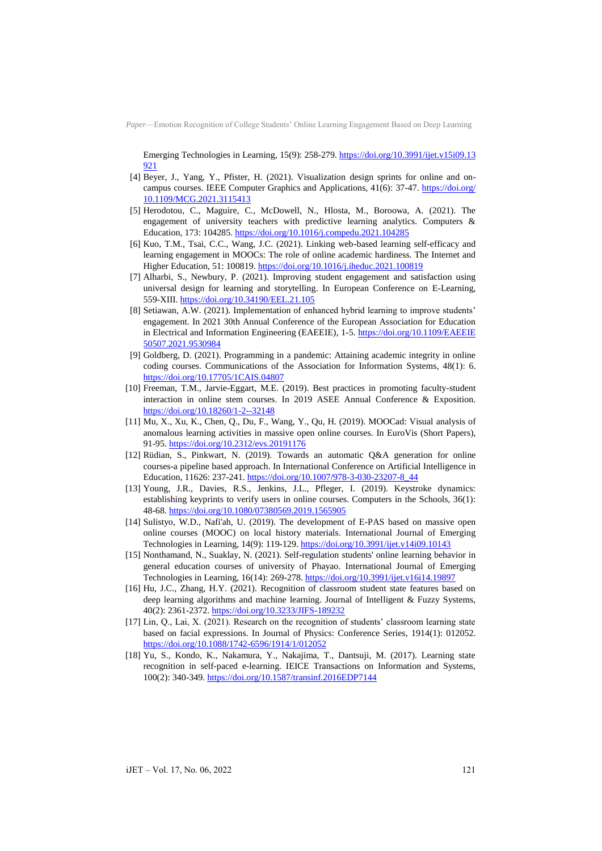Emerging Technologies in Learning, 15(9): 258-279[. https://doi.org/10.3991/ijet.v15i09.13](https://doi.org/10.3991/ijet.v15i09.13921) [921](https://doi.org/10.3991/ijet.v15i09.13921)

- [4] Beyer, J., Yang, Y., Pfister, H. (2021). Visualization design sprints for online and oncampus courses. IEEE Computer Graphics and Applications, 41(6): 37-47. [https://doi.org/](https://doi.org/10.1109/MCG.2021.3115413) [10.1109/MCG.2021.3115413](https://doi.org/10.1109/MCG.2021.3115413)
- [5] Herodotou, C., Maguire, C., McDowell, N., Hlosta, M., Boroowa, A. (2021). The engagement of university teachers with predictive learning analytics. Computers & Education, 173: 104285[. https://doi.org/10.1016/j.compedu.2021.104285](https://doi.org/10.1016/j.compedu.2021.104285)
- [6] Kuo, T.M., Tsai, C.C., Wang, J.C. (2021). Linking web-based learning self-efficacy and learning engagement in MOOCs: The role of online academic hardiness. The Internet and Higher Education, 51: 100819[. https://doi.org/10.1016/j.iheduc.2021.100819](https://doi.org/10.1016/j.iheduc.2021.100819)
- [7] Alharbi, S., Newbury, P. (2021). Improving student engagement and satisfaction using universal design for learning and storytelling. In European Conference on E-Learning, 559-XIII[. https://doi.org/10.34190/EEL.21.105](https://doi.org/10.34190/EEL.21.105)
- [8] Setiawan, A.W. (2021). Implementation of enhanced hybrid learning to improve students' engagement. In 2021 30th Annual Conference of the European Association for Education in Electrical and Information Engineering (EAEEIE), 1-5. [https://doi.org/10.1109/EAEEIE](https://doi.org/10.1109/EAEEIE50507.2021.9530984) [50507.2021.9530984](https://doi.org/10.1109/EAEEIE50507.2021.9530984)
- [9] Goldberg, D. (2021). Programming in a pandemic: Attaining academic integrity in online coding courses. Communications of the Association for Information Systems, 48(1): 6. <https://doi.org/10.17705/1CAIS.04807>
- [10] Freeman, T.M., Jarvie-Eggart, M.E. (2019). Best practices in promoting faculty-student interaction in online stem courses. In 2019 ASEE Annual Conference & Exposition. <https://doi.org/10.18260/1-2--32148>
- [11] Mu, X., Xu, K., Chen, Q., Du, F., Wang, Y., Qu, H. (2019). MOOCad: Visual analysis of anomalous learning activities in massive open online courses. In EuroVis (Short Papers), 91-95[. https://doi.org/10.2312/evs.20191176](https://doi.org/10.2312/evs.20191176)
- [12] Rüdian, S., Pinkwart, N. (2019). Towards an automatic Q&A generation for online courses-a pipeline based approach. In International Conference on Artificial Intelligence in Education, 11626: 237-241[. https://doi.org/10.1007/978-3-030-23207-8\\_44](https://doi.org/10.1007/978-3-030-23207-8_44)
- [13] Young, J.R., Davies, R.S., Jenkins, J.L., Pfleger, I. (2019). Keystroke dynamics: establishing keyprints to verify users in online courses. Computers in the Schools, 36(1): 48-68[. https://doi.org/10.1080/07380569.2019.1565905](https://doi.org/10.1080/07380569.2019.1565905)
- [14] Sulistyo, W.D., Nafi'ah, U. (2019). The development of E-PAS based on massive open online courses (MOOC) on local history materials. International Journal of Emerging Technologies in Learning, 14(9): 119-129. <https://doi.org/10.3991/ijet.v14i09.10143>
- [15] Nonthamand, N., Suaklay, N. (2021). Self-regulation students' online learning behavior in general education courses of university of Phayao. International Journal of Emerging Technologies in Learning, 16(14): 269-278. <https://doi.org/10.3991/ijet.v16i14.19897>
- [16] Hu, J.C., Zhang, H.Y. (2021). Recognition of classroom student state features based on deep learning algorithms and machine learning. Journal of Intelligent & Fuzzy Systems, 40(2): 2361-2372[. https://doi.org/10.3233/JIFS-189232](https://doi.org/10.3233/JIFS-189232)
- [17] Lin, Q., Lai, X. (2021). Research on the recognition of students' classroom learning state based on facial expressions. In Journal of Physics: Conference Series, 1914(1): 012052. <https://doi.org/10.1088/1742-6596/1914/1/012052>
- [18] Yu, S., Kondo, K., Nakamura, Y., Nakajima, T., Dantsuji, M. (2017). Learning state recognition in self-paced e-learning. IEICE Transactions on Information and Systems, 100(2): 340-349.<https://doi.org/10.1587/transinf.2016EDP7144>